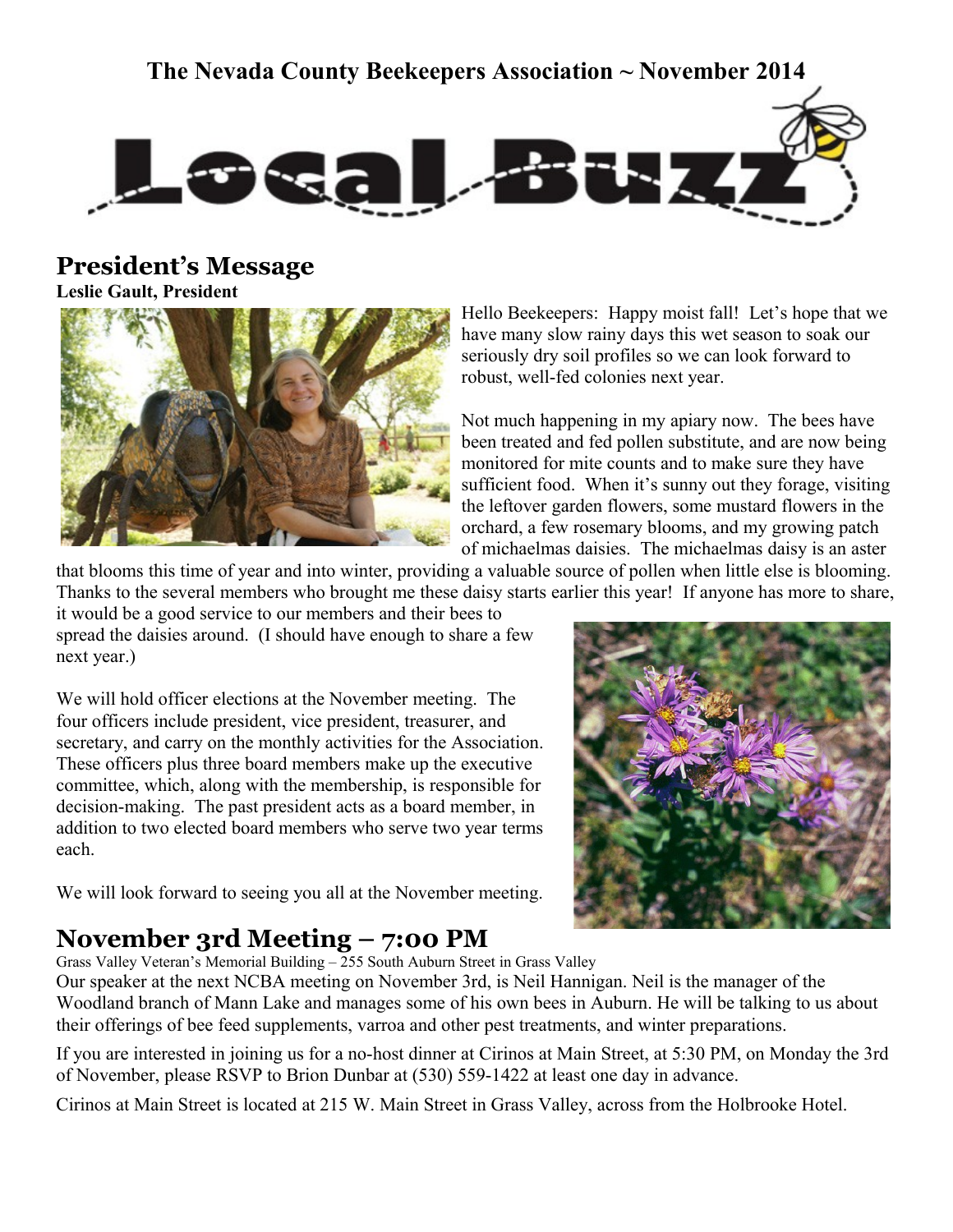## **The Nevada County Beekeepers Association ~ November 2014**



## **President's Message**

**Leslie Gault, President**



Hello Beekeepers: Happy moist fall! Let's hope that we have many slow rainy days this wet season to soak our seriously dry soil profiles so we can look forward to robust, well-fed colonies next year.

Not much happening in my apiary now. The bees have been treated and fed pollen substitute, and are now being monitored for mite counts and to make sure they have sufficient food. When it's sunny out they forage, visiting the leftover garden flowers, some mustard flowers in the orchard, a few rosemary blooms, and my growing patch of michaelmas daisies. The michaelmas daisy is an aster

that blooms this time of year and into winter, providing a valuable source of pollen when little else is blooming. Thanks to the several members who brought me these daisy starts earlier this year! If anyone has more to share,

it would be a good service to our members and their bees to spread the daisies around. (I should have enough to share a few next year.)

We will hold officer elections at the November meeting. The four officers include president, vice president, treasurer, and secretary, and carry on the monthly activities for the Association. These officers plus three board members make up the executive committee, which, along with the membership, is responsible for decision-making. The past president acts as a board member, in addition to two elected board members who serve two year terms each.

We will look forward to seeing you all at the November meeting.



## **November 3rd Meeting – 7:00 PM**

Grass Valley Veteran's Memorial Building – 255 South Auburn Street in Grass Valley

Our speaker at the next NCBA meeting on November 3rd, is Neil Hannigan. Neil is the manager of the Woodland branch of Mann Lake and manages some of his own bees in Auburn. He will be talking to us about their offerings of bee feed supplements, varroa and other pest treatments, and winter preparations.

If you are interested in joining us for a no-host dinner at Cirinos at Main Street, at 5:30 PM, on Monday the 3rd of November, please RSVP to Brion Dunbar at (530) 559-1422 at least one day in advance.

Cirinos at Main Street is located at 215 W. Main Street in Grass Valley, across from the Holbrooke Hotel.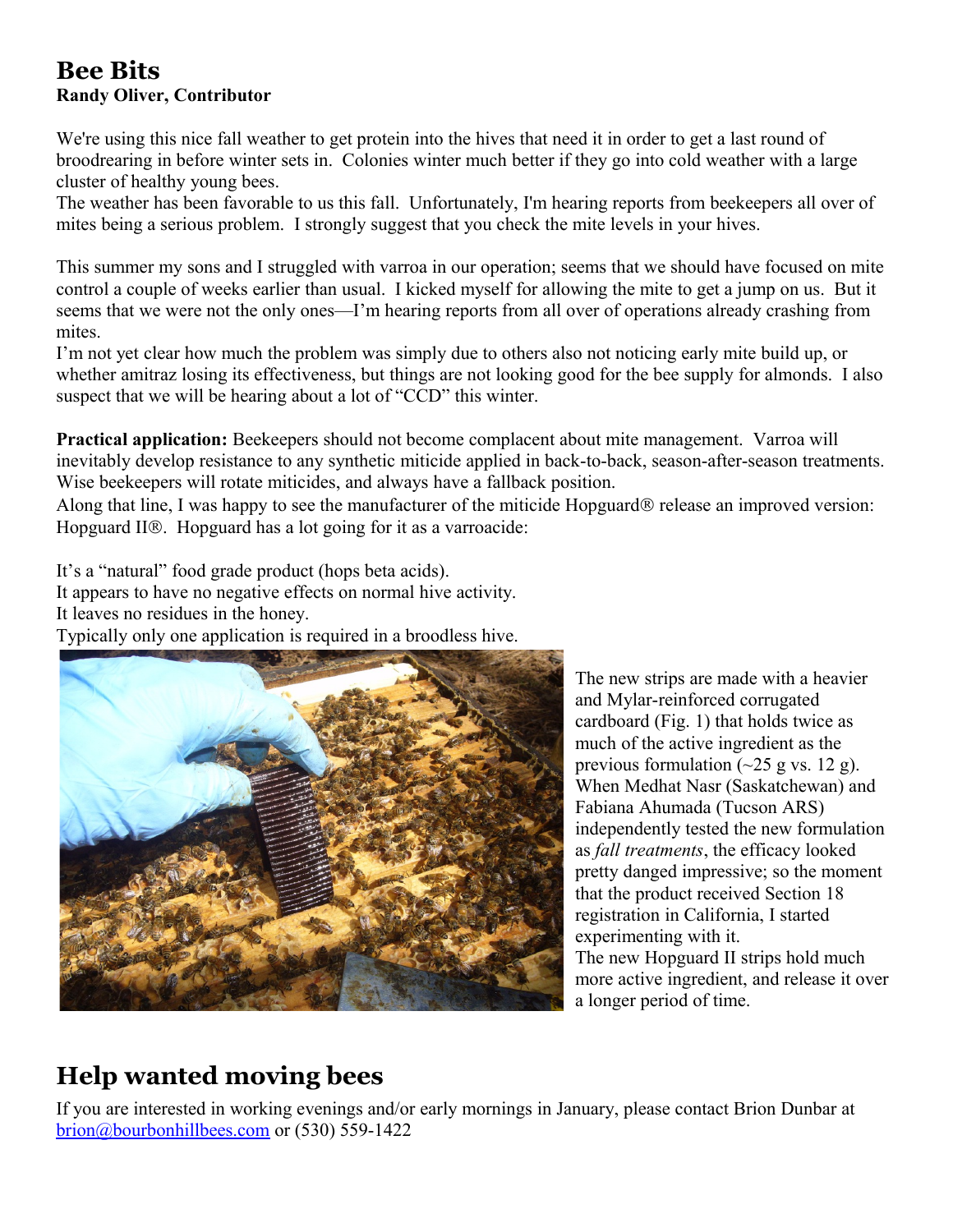### **Bee Bits Randy Oliver, Contributor**

We're using this nice fall weather to get protein into the hives that need it in order to get a last round of broodrearing in before winter sets in. Colonies winter much better if they go into cold weather with a large cluster of healthy young bees.

The weather has been favorable to us this fall. Unfortunately, I'm hearing reports from beekeepers all over of mites being a serious problem. I strongly suggest that you check the mite levels in your hives.

This summer my sons and I struggled with varroa in our operation; seems that we should have focused on mite control a couple of weeks earlier than usual. I kicked myself for allowing the mite to get a jump on us. But it seems that we were not the only ones—I'm hearing reports from all over of operations already crashing from mites.

I'm not yet clear how much the problem was simply due to others also not noticing early mite build up, or whether amitraz losing its effectiveness, but things are not looking good for the bee supply for almonds. I also suspect that we will be hearing about a lot of "CCD" this winter.

**Practical application:** Beekeepers should not become complacent about mite management. Varroa will inevitably develop resistance to any synthetic miticide applied in back-to-back, season-after-season treatments. Wise beekeepers will rotate miticides, and always have a fallback position.

Along that line, I was happy to see the manufacturer of the miticide Hopguard ® release an improved version: Hopguard II<sup>®</sup>. Hopguard has a lot going for it as a varroacide:

It's a "natural" food grade product (hops beta acids).

It appears to have no negative effects on normal hive activity.

It leaves no residues in the honey.

Typically only one application is required in a broodless hive.



The new strips are made with a heavier and Mylar-reinforced corrugated cardboard (Fig. 1) that holds twice as much of the active ingredient as the previous formulation  $(\sim 25 \text{ g vs. } 12 \text{ g})$ . When Medhat Nasr (Saskatchewan) and Fabiana Ahumada (Tucson ARS) independently tested the new formulation as *fall treatments*, the efficacy looked pretty danged impressive; so the moment that the product received Section 18 registration in California, I started experimenting with it. The new Hopguard II strips hold much more active ingredient, and release it over a longer period of time.

## **Help wanted moving bees**

If you are interested in working evenings and/or early mornings in January, please contact Brion Dunbar at brion@bourbonhillbees.com or (530) 559-1422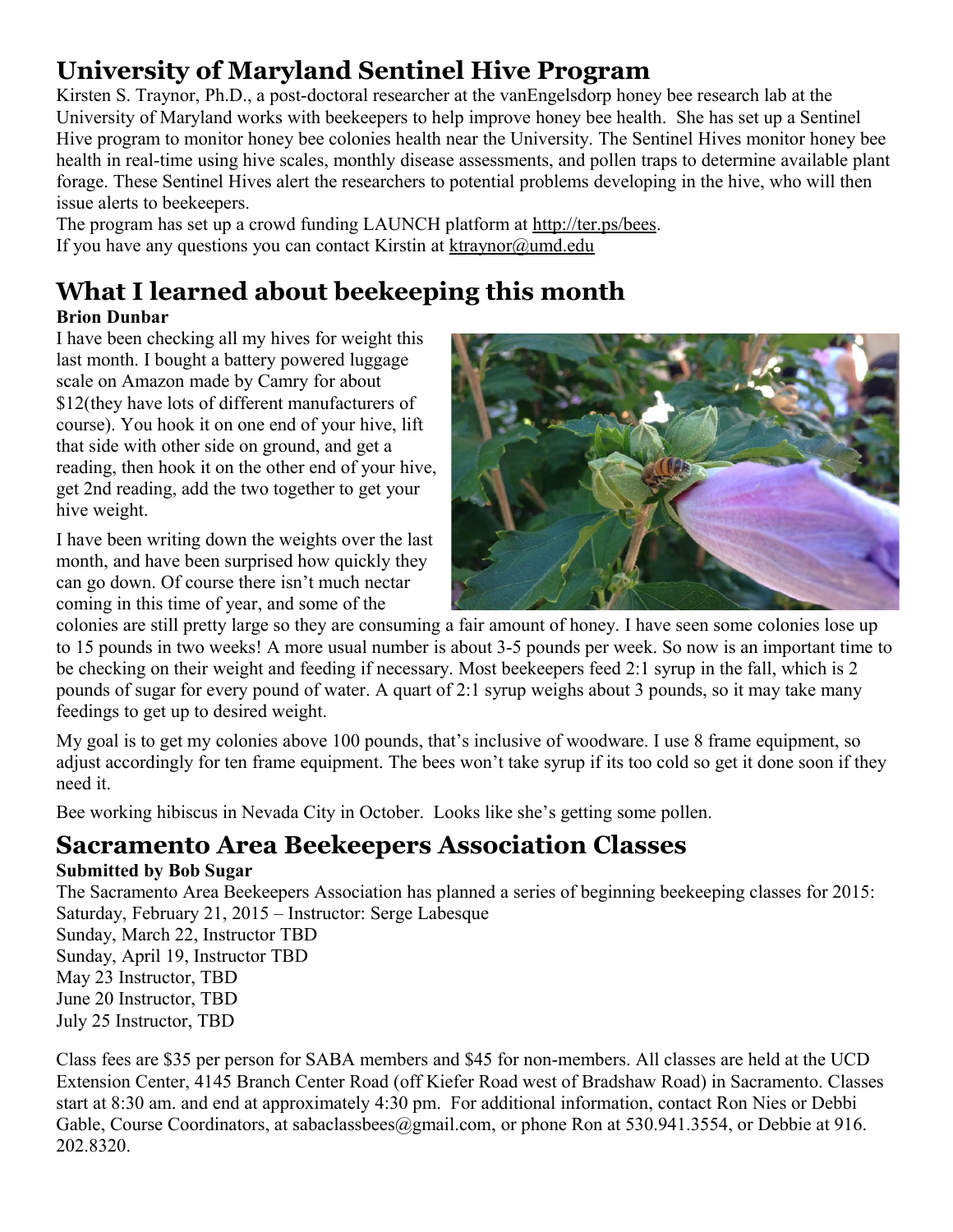## **University of Maryland Sentinel Hive Program**

Kirsten S. Traynor, Ph.D., a post-doctoral researcher at the vanEngelsdorp honey bee research lab at the University of Maryland works with beekeepers to help improve honey bee health. She has set up a Sentinel Hive program to monitor honey bee colonies health near the University. The Sentinel Hives monitor honey bee health in real-time using hive scales, monthly disease assessments, and pollen traps to determine available plant forage. These Sentinel Hives alert the researchers to potential problems developing in the hive, who will then issue alerts to beekeepers.

The program has set up a crowd funding LAUNCH platform at [http://ter.ps/bees.](http://ter.ps/bees) If you have any questions you can contact Kirstin at [ktraynor@umd.edu](mailto:ktraynor@umd.edu)

# **What I learned about beekeeping this month**

**Brion Dunbar**

I have been checking all my hives for weight this last month. I bought a battery powered luggage scale on Amazon made by Camry for about \$12(they have lots of different manufacturers of course). You hook it on one end of your hive, lift that side with other side on ground, and get a reading, then hook it on the other end of your hive, get 2nd reading, add the two together to get your hive weight.

I have been writing down the weights over the last month, and have been surprised how quickly they can go down. Of course there isn't much nectar coming in this time of year, and some of the



colonies are still pretty large so they are consuming a fair amount of honey. I have seen some colonies lose up to 15 pounds in two weeks! A more usual number is about 3-5 pounds per week. So now is an important time to be checking on their weight and feeding if necessary. Most beekeepers feed 2:1 syrup in the fall, which is 2 pounds of sugar for every pound of water. A quart of 2:1 syrup weighs about 3 pounds, so it may take many feedings to get up to desired weight.

My goal is to get my colonies above 100 pounds, that's inclusive of woodware. I use 8 frame equipment, so adjust accordingly for ten frame equipment. The bees won't take syrup if its too cold so get it done soon if they need it.

Bee working hibiscus in Nevada City in October. Looks like she's getting some pollen.

## **Sacramento Area Beekeepers Association Classes**

### **Submitted by Bob Sugar**

The Sacramento Area Beekeepers Association has planned a series of beginning beekeeping classes for 2015: Saturday, February 21, 2015 – Instructor: Serge Labesque

Sunday, March 22, Instructor TBD Sunday, April 19, Instructor TBD May 23 Instructor, TBD June 20 Instructor, TBD

July 25 Instructor, TBD

Class fees are \$35 per person for SABA members and \$45 for non-members. All classes are held at the UCD Extension Center, 4145 Branch Center Road (off Kiefer Road west of Bradshaw Road) in Sacramento. Classes start at 8:30 am. and end at approximately 4:30 pm. For additional information, contact Ron Nies or Debbi Gable, Course Coordinators, at sabaclassbees@gmail.com, or phone Ron at 530.941.3554, or Debbie at 916. 202.8320.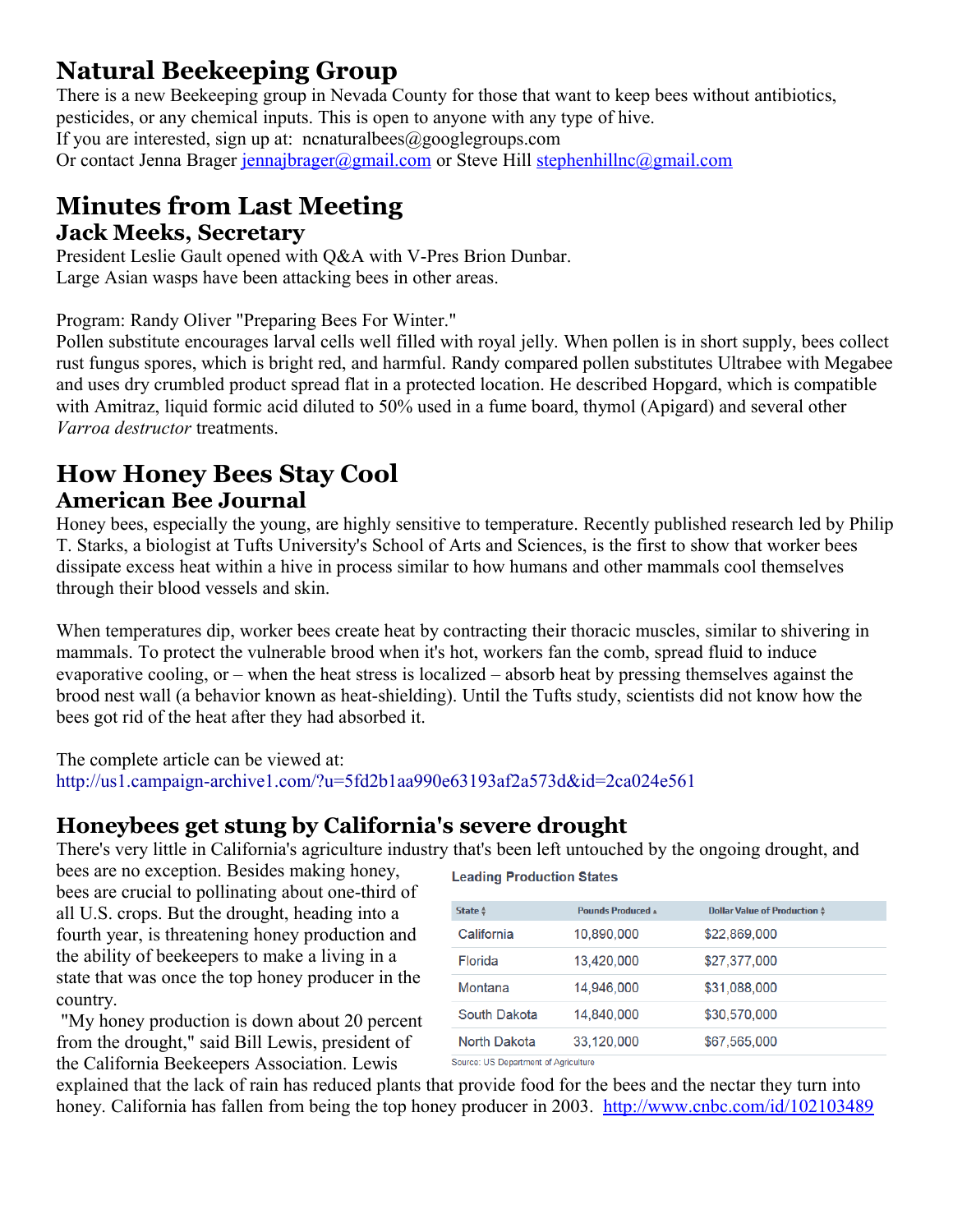## **Natural Beekeeping Group**

There is a new Beekeeping group in Nevada County for those that want to keep bees without antibiotics, pesticides, or any chemical inputs. This is open to anyone with any type of hive. If you are interested, sign up at: ncnaturalbees@googlegroups.com Or contact Jenna Brager [jennajbrager@gmail.com](mailto:jennajbrager@gmail.com) or Steve Hill [stephenhillnc@gmail.com](mailto:stephenhillnc@gmail.com)

### **Minutes from Last Meeting Jack Meeks, Secretary**

President Leslie Gault opened with Q&A with V-Pres Brion Dunbar. Large Asian wasps have been attacking bees in other areas.

Program: Randy Oliver "Preparing Bees For Winter."

Pollen substitute encourages larval cells well filled with royal jelly. When pollen is in short supply, bees collect rust fungus spores, which is bright red, and harmful. Randy compared pollen substitutes Ultrabee with Megabee and uses dry crumbled product spread flat in a protected location. He described Hopgard, which is compatible with Amitraz, liquid formic acid diluted to 50% used in a fume board, thymol (Apigard) and several other *Varroa destructor* treatments.

## **How Honey Bees Stay Cool American Bee Journal**

Honey bees, especially the young, are highly sensitive to temperature. Recently published research led by Philip T. Starks, a biologist at Tufts University's School of Arts and Sciences, is the first to show that worker bees dissipate excess heat within a hive in process similar to how humans and other mammals cool themselves through their blood vessels and skin.

When temperatures dip, worker bees create heat by contracting their thoracic muscles, similar to shivering in mammals. To protect the vulnerable brood when it's hot, workers fan the comb, spread fluid to induce evaporative cooling, or – when the heat stress is localized – absorb heat by pressing themselves against the brood nest wall (a behavior known as heat-shielding). Until the Tufts study, scientists did not know how the bees got rid of the heat after they had absorbed it.

The complete article can be viewed at: <http://us1.campaign-archive1.com/?u=5fd2b1aa990e63193af2a573d&id=2ca024e561>

### **Honeybees get stung by California's severe drought**

There's very little in California's agriculture industry that's been left untouched by the ongoing drought, and

bees are no exception. Besides making honey, bees are crucial to pollinating about one-third of all U.S. crops. But the drought, heading into a fourth year, is threatening honey production and the ability of beekeepers to make a living in a state that was once the top honey producer in the country.

 "My honey production is down about 20 percent from the drought," said Bill Lewis, president of the California Beekeepers Association. Lewis

**Leading Production States** 

| State $\frac{4}{9}$                  | <b>Pounds Produced *</b> | <b>Dollar Value of Production \$</b> |  |
|--------------------------------------|--------------------------|--------------------------------------|--|
| California                           | 10,890,000               | \$22,869,000                         |  |
| Florida                              | 13,420,000               | \$27,377,000                         |  |
| Montana                              | 14,946,000               | \$31,088,000                         |  |
| South Dakota                         | 14,840,000               | \$30,570,000                         |  |
| North Dakota                         | 33,120,000               | \$67,565,000                         |  |
| Course: HC Department of Agriculture |                          |                                      |  |

explained that the lack of rain has reduced plants that provide food for the bees and the nectar they turn into honey. California has fallen from being the top honey producer in 2003. <http://www.cnbc.com/id/102103489>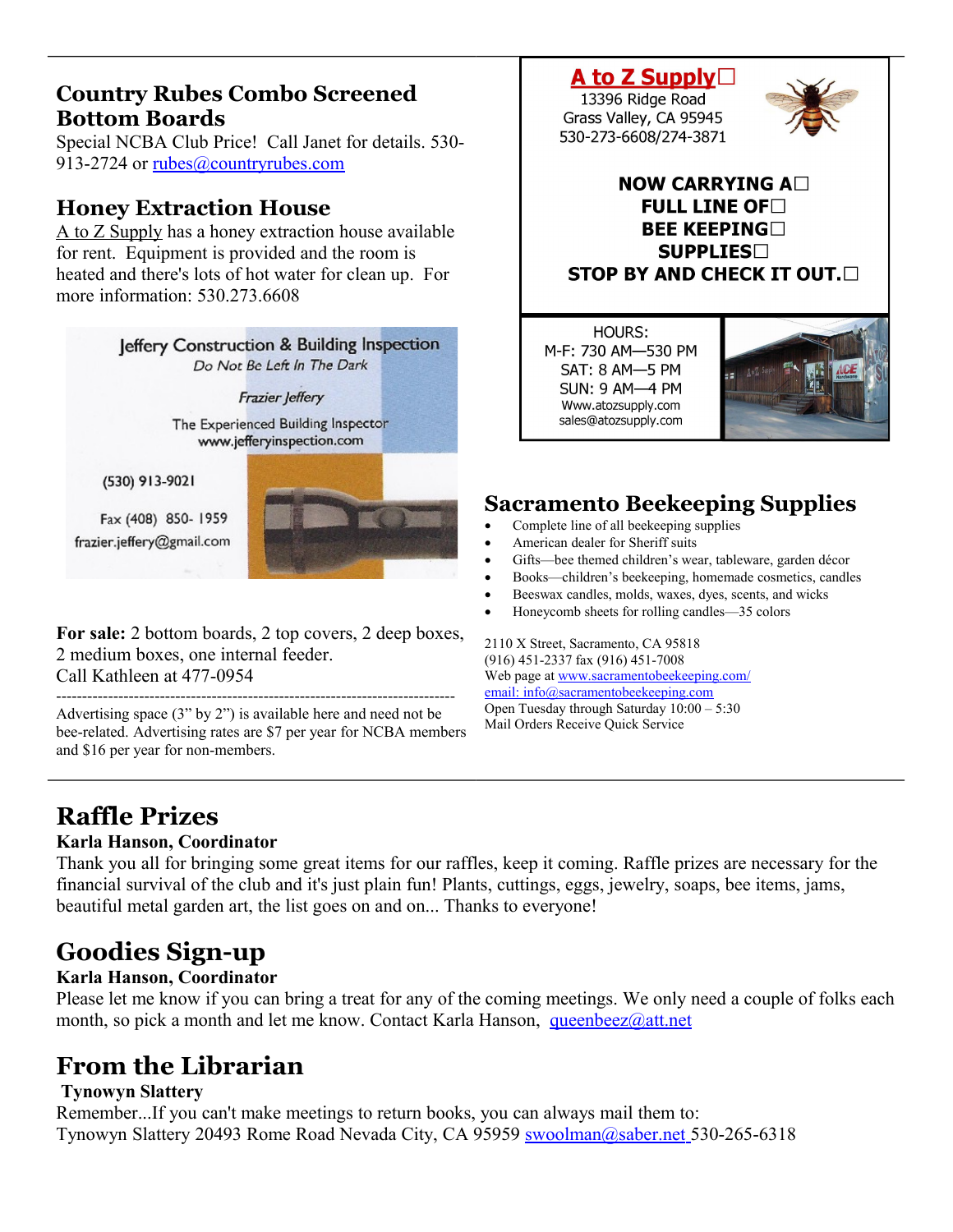### **Country Rubes Combo Screened Bottom Boards**

Special NCBA Club Price! Call Janet for details. 530 913-2724 or [rubes@countryrubes.com](mailto:rubes@countryrubes.com)

## **Honey Extraction House**

A to Z Supply has a honey extraction house available for rent. Equipment is provided and the room is heated and there's lots of hot water for clean up. For more information: 530 273 6608



**For sale:** 2 bottom boards, 2 top covers, 2 deep boxes, 2 medium boxes, one internal feeder. Call Kathleen at 477-0954

----------------------------------------------------------------------------- Advertising space (3" by 2") is available here and need not be bee-related. Advertising rates are \$7 per year for NCBA members and \$16 per year for non-members.

#### A to Z Supply $\Box$ 13396 Ridge Road Grass Valley, CA 95945

530-273-6608/274-3871



### NOW CARRYING A $\square$ **FULL LINE OF BEE KEEPING SUPPLIES STOP BY AND CHECK IT OUT.**

HOURS: M-F: 730 AM-530 PM SAT: 8 AM-5 PM **SUN: 9 AM-4 PM** Www.atozsupply.com sales@atozsupply.com



## **Sacramento Beekeeping Supplies**

- Complete line of all beekeeping supplies
- American dealer for Sheriff suits
- Gifts—bee themed children's wear, tableware, garden décor
- Books—children's beekeeping, homemade cosmetics, candles
- Beeswax candles, molds, waxes, dyes, scents, and wicks
- Honeycomb sheets for rolling candles—35 colors

2110 X Street, Sacramento, CA 95818 (916) 451-2337 fax (916) 451-7008 Web page at [www.sacramentobeekeeping.com/](http://www.sacramentobeekeeping.com/) email: inf[o@sacramentobeekeeping.com](mailto:%20info@sacramentobeekeeping.com) Open Tuesday through Saturday 10:00 – 5:30 Mail Orders Receive Quick Service

## **Raffle Prizes**

#### **Karla Hanson, Coordinator**

Thank you all for bringing some great items for our raffles, keep it coming. Raffle prizes are necessary for the financial survival of the club and it's just plain fun! Plants, cuttings, eggs, jewelry, soaps, bee items, jams, beautiful metal garden art, the list goes on and on... Thanks to everyone!

## **Goodies Sign-up**

### **Karla Hanson, Coordinator**

Please let me know if you can bring a treat for any of the coming meetings. We only need a couple of folks each month, so pick a month and let me know. Contact Karla Hanson, [queenbeez@att.net](mailto:queenbeez@att.net)

## **From the Librarian**

### **Tynowyn Slattery**

Remember...If you can't make meetings to return books, you can always mail them to: Tynowyn Slattery 20493 Rome Road Nevada City, CA 95959 [swoolman@saber.net](mailto:swoolman@saber.net) 530-265-6318